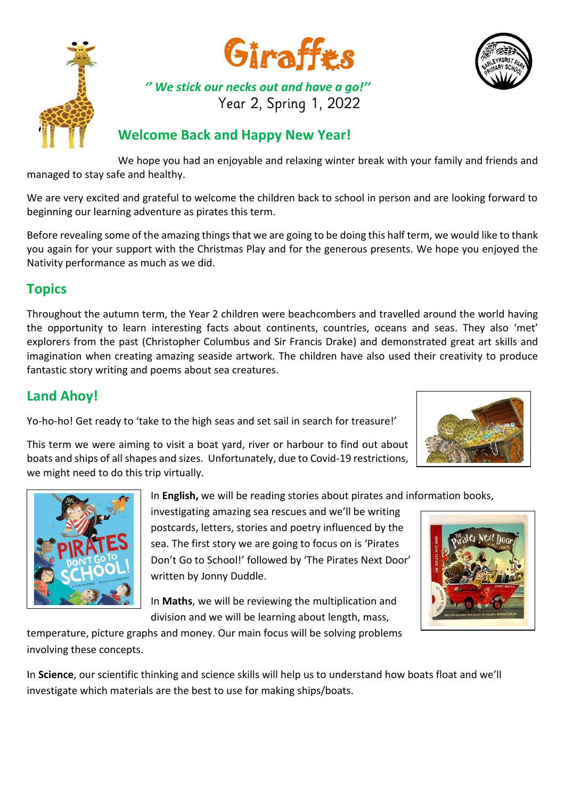





## *'' We stick our necks out and have a go!''* Year 2, Spring 1, 2022

## **Welcome Back and Happy New Year!**

We hope you had an enjoyable and relaxing winter break with your family and friends and managed to stay safe and healthy.

We are very excited and grateful to welcome the children back to school in person and are looking forward to beginning our learning adventure as pirates this term.

Before revealing some of the amazing things that we are going to be doing this half term, we would like to thank you again for your support with the Christmas Play and for the generous presents. We hope you enjoyed the Nativity performance as much as we did.

# **Topics**

Throughout the autumn term, the Year 2 children were beachcombers and travelled around the world having the opportunity to learn interesting facts about continents, countries, oceans and seas. They also 'met' explorers from the past (Christopher Columbus and Sir Francis Drake) and demonstrated great art skills and imagination when creating amazing seaside artwork. The children have also used their creativity to produce fantastic story writing and poems about sea creatures.

# **Land Ahoy!**

Yo-ho-ho! Get ready to 'take to the high seas and set sail in search for treasure!'



This term we were aiming to visit a boat yard, river or harbour to find out about boats and ships of all shapes and sizes. Unfortunately, due to Covid-19 restrictions, we might need to do this trip virtually.



investigating amazing sea rescues and we'll be writing postcards, letters, stories and poetry influenced by the sea. The first story we are going to focus on is 'Pirates Don't Go to School!' followed by 'The Pirates Next Door' written by Jonny Duddle.

In **Maths**, we will be reviewing the multiplication and division and we will be learning about length, mass,



temperature, picture graphs and money. Our main focus will be solving problems involving these concepts.

In **Science**, our scientific thinking and science skills will help us to understand how boats float and we'll investigate which materials are the best to use for making ships/boats.